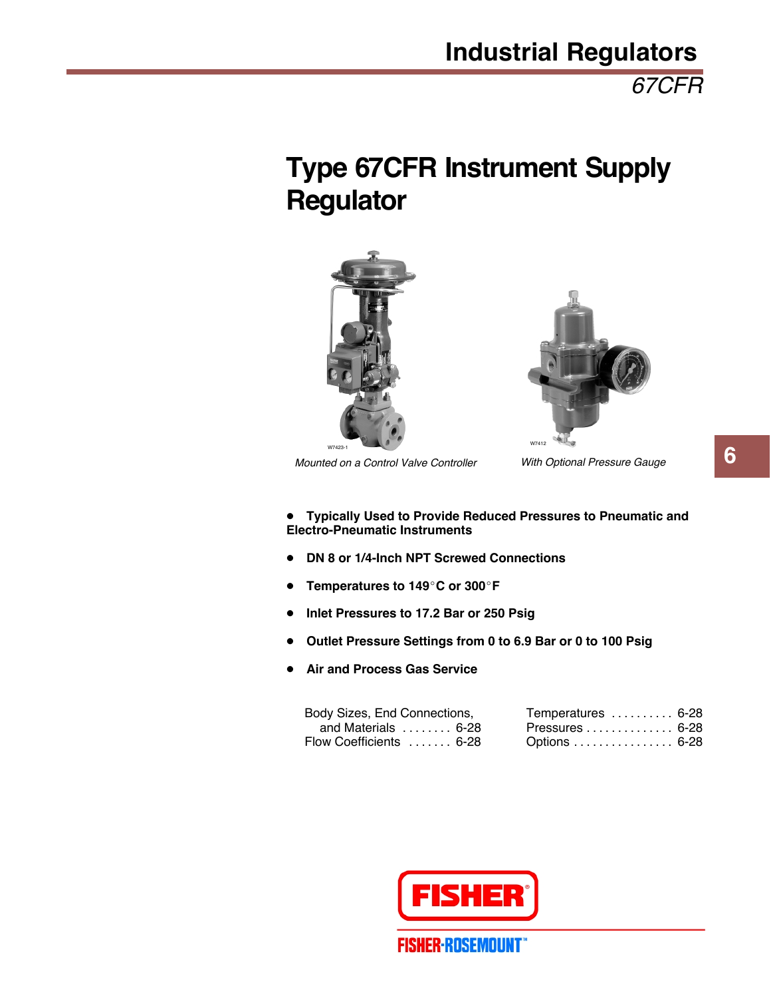*67CFR*

# **Type 67CFR Instrument Supply Regulator**





*Mounted on a Control Valve Controller*

*With Optional Pressure Gauge*

- ! **Typically Used to Provide Reduced Pressures to Pneumatic and Electro-Pneumatic Instruments**
- ! **DN 8 or 1/4-Inch NPT Screwed Connections**
- ! **Temperatures to 149**"**C or 300**"**F**
- ! **Inlet Pressures to 17.2 Bar or 250 Psig**
- ! **Outlet Pressure Settings from 0 to 6.9 Bar or 0 to 100 Psig**
- ! **Air and Process Gas Service**

| Body Sizes, End Connections,       | Temperatures  6-28 |  |
|------------------------------------|--------------------|--|
| and Materials $\ldots \ldots$ 6-28 | Pressures 6-28     |  |
| Flow Coefficients  6-28            | Options 6-28       |  |



**6**